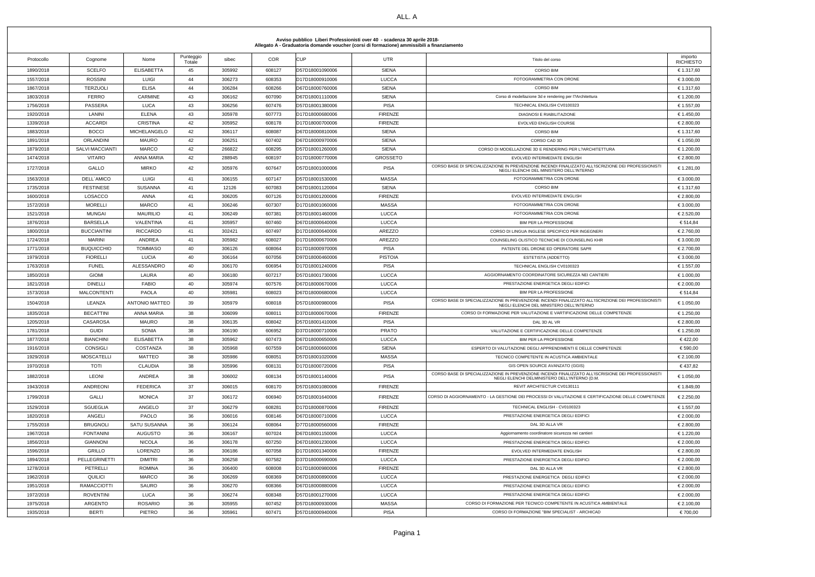| Avviso pubblico Liberi Professionisti over 40 - scadenza 30 aprile 2018-<br>Allegato A - Graduatoria domande voucher (corsi di formazione) ammissibili a finanziamento |                    |                       |                     |        |            |                 |                 |                                                                                                                                                      |                             |  |
|------------------------------------------------------------------------------------------------------------------------------------------------------------------------|--------------------|-----------------------|---------------------|--------|------------|-----------------|-----------------|------------------------------------------------------------------------------------------------------------------------------------------------------|-----------------------------|--|
| Protocollo                                                                                                                                                             | Cognome            | Nome                  | Punteggio<br>Totale | sibec  | <b>COR</b> | <b>CUP</b>      | <b>UTR</b>      | Titolo del corso                                                                                                                                     | importo<br><b>RICHIESTO</b> |  |
| 1890/2018                                                                                                                                                              | <b>SCELFO</b>      | <b>ELISABETTA</b>     | 45                  | 305992 | 608127     | D57D18001090006 | <b>SIENA</b>    | <b>CORSO BIM</b>                                                                                                                                     | € 1.317,60                  |  |
| 1557/2018                                                                                                                                                              | <b>ROSSINI</b>     | <b>LUIGI</b>          | 44                  | 306273 | 608353     | D17D18000910006 | <b>LUCCA</b>    | FOTOGRAMMETRIA CON DRONE                                                                                                                             | € 3.000,00                  |  |
| 1867/2018                                                                                                                                                              | <b>TERZUOLI</b>    | <b>ELISA</b>          | 44                  | 306284 | 608266     | D67D18000760006 | SIENA           | <b>CORSO BIM</b>                                                                                                                                     | € 1.317,60                  |  |
| 1803/2018                                                                                                                                                              | <b>FERRO</b>       | CARMINE               | 43                  | 306162 | 607090     | D67D18001110006 | SIENA           | Corso di modellazione 3d e rendering per l?Architettura                                                                                              | € 1.200,00                  |  |
| 1756/2018                                                                                                                                                              | PASSERA            | LUCA                  | 43                  | 306256 | 607476     | D57D18001380006 | <b>PISA</b>     | TECHNICAL ENGLISH CV0100323                                                                                                                          | € 1.557,00                  |  |
| 1920/2018                                                                                                                                                              | LANINI             | <b>ELENA</b>          | 43                  | 305978 | 607773     | D17D18000680006 | <b>FIRENZE</b>  | <b>DIAGNOSI E RIABILITAZIONE</b>                                                                                                                     | € 1.450,00                  |  |
| 1339/2018                                                                                                                                                              | <b>ACCARDI</b>     | <b>CRISTINA</b>       | 42                  | 305952 | 608178     | D17D18000700006 | <b>FIRENZE</b>  | EVOLVED ENGLISH COURSE                                                                                                                               | € 2.800,00                  |  |
| 1883/2018                                                                                                                                                              | <b>BOCCI</b>       | <b>MICHELANGELO</b>   | 42                  | 306117 | 608087     | D67D18000810006 | SIENA           | <b>CORSO BIM</b>                                                                                                                                     | € 1.317,60                  |  |
| 1891/2018                                                                                                                                                              | <b>ORLANDINI</b>   | <b>MAURO</b>          | 42                  | 306251 | 607402     | D67D18000970006 | SIENA           | CORSO CAD 3D                                                                                                                                         | € 1.050,00                  |  |
| 1879/2018                                                                                                                                                              | SALVI MACCIANTI    | <b>MARCO</b>          | 42                  | 266822 | 608295     | D57D18001260006 | SIENA           | CORSO DI MODELLAZIONE 3D E RENDERING PER L?ARCHITETTURA                                                                                              | € 1.200,00                  |  |
| 1474/2018                                                                                                                                                              | <b>VITARO</b>      | ANNA MARIA            | 42                  | 288945 | 608197     | D17D18000770006 | <b>GROSSETO</b> | EVOLVED INTERMEDIATE ENGLISH                                                                                                                         | € 2.800,00                  |  |
| 1727/2018                                                                                                                                                              | GALLO              | <b>MIRKO</b>          | 42                  | 305976 | 607647     | D57D18001000006 | <b>PISA</b>     | CORSO BASE DI SPECIALIZZAZIONE IN PREVENZIONE INCENDI FINALIZZATO ALL'ISCRIZIONE DEI PROFESSIONISTI<br>NEGLI ELENCHI DEL MINISTERO DELL'INTERNO      | € 1.281,00                  |  |
| 1563/2018                                                                                                                                                              | DELL'AMICO         | LUIGI                 | 41                  | 306155 | 607147     | D57D18001530006 | <b>MASSA</b>    | FOTOGRAMMETRIA CON DRONE                                                                                                                             | € 3.000,00                  |  |
| 1735/2018                                                                                                                                                              | <b>FESTINESE</b>   | SUSANNA               | 41                  | 12126  | 607083     | D67D18001120004 | SIENA           | <b>CORSO BIM</b>                                                                                                                                     | € 1.317,60                  |  |
| 1600/2018                                                                                                                                                              | LOSACCO            | ANNA                  | 41                  | 306205 | 607126     | D17D18001200006 | <b>FIRENZE</b>  | EVOLVED INTERMEDIATE ENGLISH                                                                                                                         | € 2.800,00                  |  |
| 1572/2018                                                                                                                                                              | <b>MORELLI</b>     | <b>MARCO</b>          | 41                  | 306246 | 607307     | D17D18001060006 | <b>MASSA</b>    | FOTOGRAMMETRIA CON DRONE                                                                                                                             | € 3.000,00                  |  |
| 1521/2018                                                                                                                                                              | MUNGAI             | <b>MAURILIO</b>       | 41                  | 306249 | 607381     | D57D18001460006 | <b>LUCCA</b>    | FOTOGRAMMETRIA CON DRONE                                                                                                                             | € 2.520,00                  |  |
| 1876/2018                                                                                                                                                              | <b>BARSELLA</b>    | <b>VALENTINA</b>      | 41                  | 305957 | 607460     | D67D18000640006 | <b>LUCCA</b>    | BIM PER LA PROFESSIONE                                                                                                                               | € 514,84                    |  |
| 1800/2018                                                                                                                                                              | <b>BUCCIANTINI</b> | <b>RICCARDO</b>       | 41                  | 302421 | 607497     | D17D18000640006 | AREZZO          | CORSO DI LINGUA INGLESE SPECIFICO PER INGEGNERI                                                                                                      | € 2.760,00                  |  |
| 1724/2018                                                                                                                                                              | MARINI             | ANDREA                | 41                  | 305982 | 608027     | D17D18000670006 | AREZZO          | COUNSELING OLISTICO TECNICHE DI COUNSELING KHR                                                                                                       | € 3.000,00                  |  |
| 1771/2018                                                                                                                                                              | <b>BUQUICCHIO</b>  | <b>TOMMASO</b>        | 40                  | 306126 | 608064     | D17D18000970006 | <b>PISA</b>     | PATENTE DEL DRONE ED OPERATORE SAPR                                                                                                                  | € 2.700,00                  |  |
| 1979/2018                                                                                                                                                              | <b>FIORELLI</b>    | LUCIA                 | 40                  | 306164 | 607056     | D97D18000460006 | <b>PISTOIA</b>  | ESTETISTA (ADDETTO)                                                                                                                                  | € 3.000,00                  |  |
| 1763/2018                                                                                                                                                              | <b>FUNEL</b>       | ALESSANDRO            | 40                  | 306170 | 606954     | D17D18001240006 | <b>PISA</b>     | TECHNICAL ENGLISH CV0100323                                                                                                                          | € 1.557,00                  |  |
| 1850/2018                                                                                                                                                              | <b>GIOMI</b>       | LAURA                 | 40                  | 306180 | 607217     | D57D18001730006 | <b>LUCCA</b>    | AGGIORNAMENTO COORDINATORE SICUREZZA NEI CANTIERI                                                                                                    | € 1.000,00                  |  |
| 1821/2018                                                                                                                                                              | <b>DINELLI</b>     | <b>FABIO</b>          | 40                  | 305974 | 607576     | D67D18000670006 | <b>LUCCA</b>    | PRESTAZIONE ENERGETICA DEGLI EDIFICI                                                                                                                 | € 2.000,00                  |  |
| 1573/2018                                                                                                                                                              | <b>MALCONTENTI</b> | <b>PAOLA</b>          | 40                  | 305981 | 608023     | D67D18000680006 | <b>LUCCA</b>    | <b>BIM PER LA PROFESSIONE</b>                                                                                                                        | € 514,84                    |  |
| 1504/2018                                                                                                                                                              | LEANZA             | <b>ANTONIO MATTEO</b> | 39                  | 305979 | 608018     | D57D18000980006 | <b>PISA</b>     | CORSO BASE DI SPECIALIZZAZIONE IN PREVENZIONE INCENDI FINALIZZATO ALL'ISCRIZIONE DEI PROFESSIONISTI<br>NEGLI ELENCHI DEL MINISTERO DELL'INTERNO      | € 1.050,00                  |  |
| 1835/2018                                                                                                                                                              | <b>BECATTINI</b>   | ANNA MARIA            | 38                  | 306099 | 608011     | D37D18000670006 | <b>FIRENZE</b>  | CORSO DI FORMAZIONE PER VALUTAZIONE E VARTIFICAZIONE DELLE COMPETENZE                                                                                | € 1.250,00                  |  |
| 1205/2018                                                                                                                                                              | CASAROSA           | MAURO                 | 38                  | 306135 | 608042     | D57D18001410006 | <b>PISA</b>     | DAL 3D AL VR                                                                                                                                         | € 2.800,00                  |  |
| 1781/2018                                                                                                                                                              | <b>GUIDI</b>       | SONIA                 | 38                  | 306190 | 606952     | D37D18000710006 | <b>PRATO</b>    | VALUTAZIONE E CERTIFICAZIONE DELLE COMPETENZE                                                                                                        | € 1.250,00                  |  |
| 1877/2018                                                                                                                                                              | <b>BIANCHINI</b>   | <b>ELISABETTA</b>     | 38                  | 305962 | 607473     | D67D18000650006 | <b>LUCCA</b>    | BIM PER LA PROFESSIONE                                                                                                                               | €422,00                     |  |
| 1916/2018                                                                                                                                                              | <b>CONSIGLI</b>    | <b>COSTANZA</b>       | 38                  | 305968 | 607559     | D67D18000660006 | SIENA           | ESPERTO DI VALUTAZIONE DEGLI APPRENDIMENTI E DELLE COMPETENZE                                                                                        | € 590,00                    |  |
| 1929/2018                                                                                                                                                              | <b>MOSCATELLI</b>  | <b>MATTEO</b>         | 38                  | 305986 | 608051     | D57D18001020006 | <b>MASSA</b>    | TECNICO COMPETENTE IN ACUSTICA AMBIENTALE                                                                                                            | € 2.100,00                  |  |
| 1970/2018                                                                                                                                                              | TOTI               | <b>CLAUDIA</b>        | 38                  | 305996 | 608131     | D17D18000720006 | <b>PISA</b>     | GIS OPEN SOURCE AVANZATO (GGIS)                                                                                                                      | € 437,82                    |  |
| 1882/2018                                                                                                                                                              | LEONI              | ANDREA                | 38                  | 306002 | 608134     | D57D18001140006 | PISA            | CORSO BASE DI SPECIALIZZAZIONE IN PREVENZIONE INCENDI FINALIZZATO ALL'ISCRISIONE DEI PROFESSIONISTI<br>NEGLI ELENCHI DELMINISTERO DELL'INTERNO (D.M. | € 1.050,00                  |  |
| 1943/2018                                                                                                                                                              | ANDREONI           | <b>FEDERICA</b>       | 37                  | 306015 | 608170     | D57D18001080006 | <b>FIRENZE</b>  | REVIT ARCHITECTUR CV0130111                                                                                                                          | € 1.849,00                  |  |
| 1799/2018                                                                                                                                                              | GALLI              | <b>MONICA</b>         | 37                  | 306172 | 606940     | D57D18001640006 | <b>FIRENZE</b>  | CORSO DI AGGIORNAMENTO - LA GESTIONE DEI PROCESSI DI VALUTAZIONE E CERTIFICAZIONE DELLE COMPETENZE                                                   | € 2.250,00                  |  |
| 1529/2018                                                                                                                                                              | SGUEGLIA           | ANGELO                | 37                  | 306279 | 608281     | D17D18000870006 | <b>FIRENZE</b>  | TECHNICAL ENGLISH - CV0100323                                                                                                                        | € 1.557,00                  |  |
| 1820/2018                                                                                                                                                              | ANGELI             | <b>PAOLO</b>          | 36                  | 306016 | 608146     | D67D18000710006 | <b>LUCCA</b>    | PRESTAZIONE ENERGETICA DEGLI EDIFICI                                                                                                                 | € 2.000,00                  |  |
| 1755/2018                                                                                                                                                              | <b>BRUGNOLI</b>    | SATU SUSANNA          | 36                  | 306124 | 608064     | D77D18000560006 | <b>FIRENZE</b>  | DAL 3D ALLA VR                                                                                                                                       | € 2.800,00                  |  |
| 1967/2018                                                                                                                                                              | <b>FONTANINI</b>   | AUGUSTO               | 36                  | 306167 | 607024     | D67D18001150006 | <b>LUCCA</b>    | Aggiornamento coordinatore sicurezza nei cantieri                                                                                                    | € 1.220,00                  |  |
| 1856/2018                                                                                                                                                              | <b>GIANNONI</b>    | <b>NICOLA</b>         | 36                  | 306178 | 607250     | D67D18001230006 | <b>LUCCA</b>    | PRESTAZIONE ENERGETICA DEGLI EDIFICI                                                                                                                 | € 2.000,00                  |  |
| 1596/2018                                                                                                                                                              | GRILLO             | LORENZO               | 36                  | 306186 | 607058     | D17D18001340006 | <b>FIRENZE</b>  | EVOLVED INTERMEDIATE ENGLISH                                                                                                                         | € 2.800,00                  |  |
| 1894/2018                                                                                                                                                              | PELLEGRINETTI      | <b>DIMITRI</b>        | 36                  | 306258 | 607582     | D37D18000690006 | <b>LUCCA</b>    | PRESTAZIONE ENERGETICA DEGLI EDIFICI                                                                                                                 | € 2.000,00                  |  |
| 1278/2018                                                                                                                                                              | PETRELLI           | ROMINA                | 36                  | 306400 | 608008     | D17D18000980006 | <b>FIRENZE</b>  | DAL 3D ALLA VR                                                                                                                                       | € 2.800,00                  |  |
| 1962/2018                                                                                                                                                              | QUILICI            | <b>MARCO</b>          | 36                  | 306269 | 608369     | D67D18000890006 | <b>LUCCA</b>    | PRESTAZIONE ENERGETICA DEGLI EDIFICI                                                                                                                 | € 2.000,00                  |  |
| 1951/2018                                                                                                                                                              | <b>RAMACCIOTTI</b> | SAURO                 | 36                  | 306270 | 608366     | D67D18000880006 | <b>LUCCA</b>    | PRESTAZIONE ENERGETICA DEGLI EDIFICI                                                                                                                 | € 2.000,00                  |  |
| 1972/2018                                                                                                                                                              | <b>ROVENTINI</b>   | LUCA                  | 36                  | 306274 | 608348     | D57D18001270006 | <b>LUCCA</b>    | PRESTAZIONE ENERGETICA DEGLI EDIFICI                                                                                                                 | € 2.000,00                  |  |
| 1975/2018                                                                                                                                                              | ARGENTO            | <b>ROSARIO</b>        | 36                  | 305955 | 607452     | D57D18000930006 | MASSA           | CORSO DI FORMAZIONE PER TECNICO COMPETENTE IN ACUSTICA AMBIENTALE                                                                                    | € 2.100,00                  |  |
| 1935/2018                                                                                                                                                              | <b>BERTI</b>       | <b>PIETRO</b>         | 36                  | 305961 | 607471     | D57D18000940006 | <b>PISA</b>     | CORSO DI FORMAZIONE "BIM SPECIALIST - ARCHICAD                                                                                                       | € 700,00                    |  |

## **Avviso pubblico Liberi Professionisti over 40 - scadenza 30 aprile 2018-**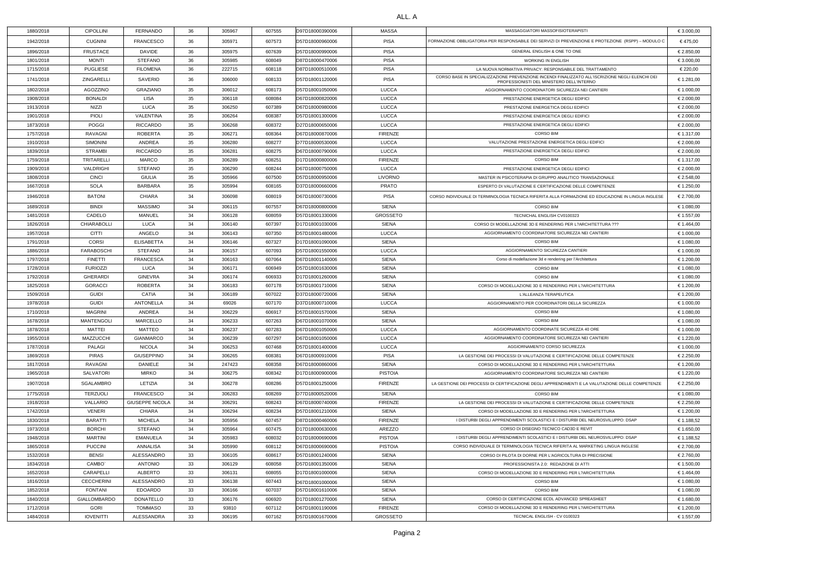## ALL. A

| 1880/2018 | <b>CIPOLLINI</b>    | FERNANDO               | 36 | 305967 | 607555 | D97D18000390006 | <b>MASSA</b>    | MASSAGGIATORI MASSOFISIOTERAPISTI                                                                                                            | € 3.000,00 |
|-----------|---------------------|------------------------|----|--------|--------|-----------------|-----------------|----------------------------------------------------------------------------------------------------------------------------------------------|------------|
| 1942/2018 | <b>CUGNINI</b>      | <b>FRANCESCO</b>       | 36 | 305971 | 607573 | D57D18000960006 | <b>PISA</b>     | FORMAZIONE OBBLIGATORIA PER RESPONSABILE DEI SERVIZI DI PREVENZIONE E PROTEZIONE (RSPP) – MODULO C                                           | €475,00    |
| 1896/2018 | <b>FRUSTACE</b>     | <b>DAVIDE</b>          | 36 | 305975 | 607639 | D57D18000990006 | <b>PISA</b>     | GENERAL ENGLISH & ONE TO ONE                                                                                                                 | € 2.850,00 |
| 1801/2018 | MONTI               | <b>STEFANO</b>         | 36 | 305985 | 608049 | D87D18000470006 | <b>PISA</b>     | <b>WORKING IN ENGLISH</b>                                                                                                                    | € 3.000,00 |
| 1715/2018 | <b>PUGLIESE</b>     | <b>FILOMENA</b>        | 36 | 222715 | 608118 | D87D18000510006 | <b>PISA</b>     | LA NUOVA NORMATIVA PRIVACY: RESPONSABILE DEL TRATTAMENTO                                                                                     | € 220,00   |
| 1741/2018 | ZINGARELLI          | SAVERIO                | 36 | 306000 | 608133 | D57D18001120006 | <b>PISA</b>     | CORSO BASE IN SPECIALIZZAZIONE PREVENZIONE INCENDI FINALIZZATO ALL'ISCRIZIONE NEGLI ELENCHI DEI<br>PROFESSIONISTI DEL MINISTERO DELL'INTERNO | € 1.281,00 |
| 1802/2018 | AGOZZINO            | <b>GRAZIANO</b>        | 35 | 306012 | 608173 | D57D18001050006 | <b>LUCCA</b>    | AGGIORNAMENTO COORDINATORI SICUREZZA NEI CANTIERI                                                                                            | € 1.000,00 |
| 1908/2018 | <b>BONALDI</b>      | <b>LISA</b>            | 35 | 306118 | 608084 | D67D18000820006 | <b>LUCCA</b>    | PRESTAZIONE ENERGETICA DEGLI EDIFICI                                                                                                         | € 2.000,00 |
| 1913/2018 | NIZZI               | <b>LUCA</b>            | 35 | 306250 | 607389 | D67D18000980006 | <b>LUCCA</b>    | PRESTAZONE ENERGETICA DEGLI EDIFICI                                                                                                          | € 2.000,00 |
| 1901/2018 | <b>PIOLI</b>        | VALENTINA              | 35 | 306264 | 608387 | D57D18001300006 | <b>LUCCA</b>    | PRESTAZIONE ENERGETICA DEGLI EDIFICI                                                                                                         | € 2.000,00 |
| 1873/2018 | <b>POGGI</b>        | <b>RICCARDO</b>        | 35 | 306268 | 608372 | D27D18000650006 | <b>LUCCA</b>    | PRESTAZIONE ENERGETICA DEGLI EDIFICI                                                                                                         | € 2.000,00 |
| 1757/2018 | <b>RAVAGNI</b>      | <b>ROBERTA</b>         | 35 | 306271 | 608364 | D67D18000870006 | <b>FIRENZE</b>  | <b>CORSO BIM</b>                                                                                                                             | € 1.317,00 |
| 1910/2018 | <b>SIMONINI</b>     | ANDREA                 | 35 | 306280 | 608277 | D77D18000530006 | <b>LUCCA</b>    | VALUTAZIONE PRESTAZIONE ENERGETICA DEGLI EDIFICI                                                                                             | € 2.000,00 |
| 1839/2018 | <b>STRAMBI</b>      | <b>RICCARDO</b>        | 35 | 306281 | 608275 | D67D18000790006 | <b>LUCCA</b>    | PRESTAZIONE ENERGETICA DEGLI EDIFICI                                                                                                         | € 2.000,00 |
| 1759/2018 | TRITARELLI          | MARCO                  | 35 | 306289 | 608251 | D17D18000800006 | <b>FIRENZE</b>  | <b>CORSO BIM</b>                                                                                                                             | € 1.317,00 |
| 1909/2018 | VALDRIGHI           | <b>STEFANO</b>         | 35 | 306290 | 608244 | D67D18000750006 | <b>LUCCA</b>    | PRESTAZIONE ENERGETICA DEGLI EDIFICI                                                                                                         | € 2.000,00 |
| 1808/2018 | <b>CINCI</b>        | <b>GIULIA</b>          | 35 | 305966 | 607500 | D57D18000950006 | <b>LIVORNO</b>  | MASTER IN PSICOTERAPIA DI GRUPPO ANALITICO TRANSAZIONALE                                                                                     | € 2.548,00 |
| 1667/2018 | <b>SOLA</b>         | <b>BARBARA</b>         | 35 | 305994 | 608165 | D37D18000660006 | <b>PRATO</b>    | ESPERTO DI VALUTAZIONE E CERTIFICAZIONE DELLE COMPETENZE                                                                                     | € 1.250,00 |
| 1946/2018 | <b>BATONI</b>       | <b>CHIARA</b>          | 34 | 306098 | 608019 | D67D18000730006 | <b>PISA</b>     | CORSO INDIVIDUALE DI TERMINOLOGIA TECNICA RIFERITA ALLA FORMAZIONE ED EDUCAZIONE IN LINGUA INGLESE                                           | € 2.700,00 |
| 1689/2018 | <b>BINDI</b>        | <b>MASSIMO</b>         | 34 | 306115 | 607557 | D67D18000800006 | <b>SIENA</b>    | <b>CORSO BIM</b>                                                                                                                             | € 1.080,00 |
| 1481/2018 | CADELO              | MANUEL                 | 34 | 306128 | 608059 | D57D18001330006 | <b>GROSSETO</b> | TECNICHAL ENGLISH CV0100323                                                                                                                  | € 1.557,00 |
| 1826/2018 | <b>CHIARABOLLI</b>  | LUCA                   | 34 | 306140 | 607397 | D17D18001030006 | <b>SIENA</b>    | CORSO DI MODELLAZIONE 3D E RENDERING PER L?ARCHITETTURA ???                                                                                  | € 1.464,00 |
| 1957/2018 | CITTI               | ANGELO                 | 34 | 306143 | 607350 | D57D18001480006 | <b>LUCCA</b>    | AGGIORNAMENTO COORDINATORE SICUREZZA NEI CANTIERI                                                                                            | € 1.000,00 |
| 1791/2018 | <b>CORSI</b>        | <b>ELISABETTA</b>      | 34 | 306146 | 607327 | D17D18001090006 | <b>SIENA</b>    | <b>CORSO BIM</b>                                                                                                                             | € 1.080,00 |
| 1886/2018 | FARABOSCHI          | STEFANO                | 34 | 306157 | 607093 | D57D18001550006 | <b>LUCCA</b>    | AGGIORNAMENTO SICUREZZA CANTIERI                                                                                                             | € 1.000,00 |
| 1797/2018 | <b>FINETTI</b>      | <b>FRANCESCA</b>       | 34 | 306163 | 607064 | D67D18001140006 | <b>SIENA</b>    | Corso di modellazione 3d e rendering per l'Architettura                                                                                      | € 1.200,00 |
| 1728/2018 | <b>FURIOZZI</b>     | <b>LUCA</b>            | 34 | 306171 | 606949 | D57D18001630006 | <b>SIENA</b>    | <b>CORSO BIM</b>                                                                                                                             | € 1.080,00 |
| 1792/2018 | <b>GHERARDI</b>     | <b>GINEVRA</b>         | 34 | 306174 | 606933 | D17D18001260006 | <b>SIENA</b>    | <b>CORSO BIM</b>                                                                                                                             | € 1.080,00 |
| 1825/2018 | <b>GORACCI</b>      | <b>ROBERTA</b>         | 34 | 306183 | 607178 | D57D18001710006 | <b>SIENA</b>    | CORSO DI MODELLAZIONE 3D E RENDERING PER L?ARCHITETTURA                                                                                      | € 1.200,00 |
| 1509/2018 | <b>GUIDI</b>        | CATIA                  | 34 | 306189 | 607022 | D37D18000720006 | SIENA           | L'ALLEANZA TERAPEUTICA                                                                                                                       | € 1.200,00 |
| 1978/2018 | <b>GUIDI</b>        | ANTONELLA              | 34 | 69026  | 607170 | D37D18000710006 | <b>LUCCA</b>    | AGGIORNAMENTO PER COORDINATORI DELLA SICUREZZA                                                                                               | € 1.000,00 |
| 1710/2018 | MAGRINI             | ANDREA                 | 34 | 306229 | 606917 | D57D18001570006 | SIENA           | CORSO BIM                                                                                                                                    | € 1.080,00 |
| 1678/2018 | <b>MANTENGOLI</b>   | MARCELLO               | 34 | 306233 | 607263 | D67D18001070006 | <b>SIENA</b>    | <b>CORSO BIM</b>                                                                                                                             | € 1.080,00 |
| 1878/2018 | MATTEI              | MATTEO                 | 34 | 306237 | 607283 | D67D18001050006 | <b>LUCCA</b>    | AGGIORNAMENTO COORDINATE SICUREZZA 40 ORE                                                                                                    | € 1.000,00 |
| 1955/2018 | MAZZUCCHI           | <b>GIANMARCO</b>       | 34 | 306239 | 607297 | D67D18001050006 | <b>LUCCA</b>    | AGGIORNAMENTO COORDINATORE SICUREZZA NEI CANTIERI                                                                                            | € 1.220,00 |
| 1787/2018 | PALAGI              | NICOLA                 | 34 | 306253 | 607468 | D57D18001400006 | <b>LUCCA</b>    | AGGIORNAMENTO CORSO SICUREZZA                                                                                                                | € 1.000,00 |
| 1869/2018 | <b>PIRAS</b>        | <b>GIUSEPPINO</b>      | 34 | 306265 | 608381 | D67D18000910006 | <b>PISA</b>     | LA GESTIONE DEI PROCESSI DI VALUTAZIONE E CERTIFICAZIONE DELLE COMPETENZE                                                                    | € 2.250,00 |
| 1817/2018 | RAVAGNI             | DANIELE                | 34 | 247423 | 608358 | D67D18000860006 | SIENA           | CORSO DI MODELLAZIONE 3D E RENDERING PER L?ARCHITETTURA                                                                                      | € 1.200,00 |
| 1965/2018 | SALVATORI           | <b>MIRKO</b>           | 34 | 306275 | 608342 | D17D18000900006 | PISTOIA         | AGGIORNAMENTO COORDINATORE SICUREZZA NEI CANTIERI                                                                                            | € 1.220,00 |
| 1907/2018 | SGALAMBRO           | LETIZIA                | 34 | 306278 | 608286 | D57D18001250006 | <b>FIRENZE</b>  | LA GESTIONE DEI PROCESSI DI CERTIFICAZIONE DEGLI APPRENDIMENTI E LA VALUTAZIONE DELLE COMPETENZE                                             | € 2.250,00 |
| 1775/2018 | <b>TERZUOLI</b>     | <b>FRANCESCO</b>       | 34 | 306283 | 608269 | D77D18000520006 | SIENA           | <b>CORSO BIM</b>                                                                                                                             | € 1.080,00 |
| 1918/2018 | <b>VALLARIO</b>     | <b>GIUSEPPE NICOLA</b> | 34 | 306291 | 608243 | D67D18000740006 | <b>FIRENZE</b>  | LA GESTIONE DEI PROCESSI DI VALUTAZIONE E CERTIFICAZIONE DELLE COMPETENZE                                                                    | € 2.250,00 |
| 1742/2018 | VENERI              | <b>CHIARA</b>          | 34 | 306294 | 608234 | D57D18001210006 | SIENA           | CORSO DI MODELLAZIONE 3D E RENDERING PER L?ARCHITETTURA                                                                                      | € 1.200,00 |
| 1830/2018 | <b>BARATTI</b>      | <b>MICHELA</b>         | 34 | 305956 | 607457 | D87D18000460006 | <b>FIRENZE</b>  | I DISTURBI DEGLI APPRENDIMENTI SCOLASTICI E I DISTURBI DEL NEUROSVILUPPO: DSAP                                                               | € 1.188,52 |
| 1973/2018 | <b>BORCHI</b>       | <b>STEFANO</b>         | 34 | 305964 | 607475 | D17D18000630006 | AREZZO          | CORSO DI DISEGNO TECNICO CAD3D E REVIT                                                                                                       | € 1.650,00 |
| 1948/2018 | <b>MARTINI</b>      | <b>EMANUELA</b>        | 34 | 305983 | 608032 | D17D18000690006 | PISTOIA         | I DISTURBI DEGLI APPRENDIMENTI SCOLASTICI E I DISTURBI DEL NEUROSVILUPPO: DSAP                                                               | € 1.188,52 |
| 1865/2018 | <b>PUCCINI</b>      | ANNALISA               | 34 | 305990 | 608112 | D67D18000690006 | PISTOIA         | CORSO INDIVIDUALE DI TERMINOLOGIA TECNICA RIFERITA AL MARKETING LINGUA INGLESE                                                               | € 2.700,00 |
| 1532/2018 | <b>BENSI</b>        | ALESSANDRO             | 33 | 306105 | 608617 | D57D18001240006 | SIENA           | CORSO DI PILOTA DI DORNE PER L'AGRICOLTURA DI PRECISIONE                                                                                     | € 2.760,00 |
| 1834/2018 | CAMBO <sup>®</sup>  | ANTONIO                | 33 | 306129 | 608058 | D57D18001350006 | <b>SIENA</b>    | PROFESSIONISTA 2.0: REDAZIONE DI ATTI                                                                                                        | € 1.500,00 |
| 1652/2018 | CARAPELLI           | ALBERTO                | 33 | 306131 | 608055 | D17D18001000006 | <b>SIENA</b>    | CORSO DI MODELLAZIONE 3D E RENDERING PER L?ARCHITETTURA                                                                                      | € 1.464,00 |
| 1816/2018 | <b>CECCHERINI</b>   | ALESSANDRO             | 33 | 306138 | 607443 | D67D18001000006 | <b>SIENA</b>    | <b>CORSO BIM</b>                                                                                                                             | € 1.080,00 |
| 1852/2018 | <b>FONTANI</b>      | <b>EDOARDO</b>         | 33 | 306166 | 607037 | D57D18001610006 | SIENA           | <b>CORSO BIM</b>                                                                                                                             | € 1.080,00 |
| 1840/2018 | <b>GIALLOMBARDO</b> | <b>DONATELLO</b>       | 33 | 306176 | 606920 | D17D18001270006 | SIENA           | CORSO DI CERTIFICAZIONE ECDL ADVANCED SPREASHEET                                                                                             | € 1.680,00 |
| 1712/2018 | <b>GORI</b>         | TOMMASO                | 33 | 93810  | 607112 | D67D18001190006 | <b>FIRENZE</b>  | CORSO DI MODELLAZIONE 3D E RENDERING PER L?ARCHITETTURA                                                                                      | € 1.200,00 |
| 1484/2018 | <b>IOVENITTI</b>    | ALESSANDRA             | 33 | 306195 | 607162 | D57D18001670006 | GROSSETO        | TECNICAL ENGLISH - CV 0100323                                                                                                                | € 1.557,00 |

| PISIOTERAPISTI                                                             | € 3.000,00 |
|----------------------------------------------------------------------------|------------|
| DI PREVENZIONE E PROTEZIONE (RSPP) - MODULO C                              | €475,00    |
| ONE TO ONE                                                                 | € 2.850,00 |
| <b>\GLISH</b>                                                              | € 3.000,00 |
| ONSABILE DEL TRATTAMENTO                                                   | € 220,00   |
| I FINALIZZATO ALL'ISCRIZIONE NEGLI ELENCHI DEI<br><b>FERO DELL'INTERNO</b> | € 1.281,00 |
| SICUREZZA NEI CANTIERI                                                     | € 1.000,00 |
| CA DEGLI EDIFICI                                                           | € 2.000,00 |
| CA DEGLI EDIFICI                                                           | € 2.000,00 |
| CA DEGLI EDIFICI                                                           | € 2.000,00 |
| CA DEGLI EDIFICI                                                           | € 2.000,00 |
| м                                                                          | € 1.317,00 |
| ERGETICA DEGLI EDIFICI                                                     | € 2.000,00 |
| CA DEGLI EDIFICI                                                           | € 2.000,00 |
| м                                                                          | € 1.317,00 |
| CA DEGLI EDIFICI                                                           | € 2.000,00 |
| ) ANALITICO TRANSAZIONALE                                                  | € 2.548,00 |
| CAZIONE DELLE COMPETENZE                                                   | € 1.250,00 |
| LA FORMAZIONE ED EDUCAZIONE IN LINGUA INGLESE                              | € 2.700,00 |
| Μ                                                                          | € 1.080,00 |
| I CV0100323                                                                | € 1.557,00 |
| RING PER L?ARCHITETTURA ???                                                | € 1.464,00 |
| <b>E SICUREZZA NEI CANTIERI</b>                                            | € 1.000,00 |
| м                                                                          | € 1.080,00 |
| REZZA CANTIERI                                                             | € 1.000,00 |
| dering per l'Architettura                                                  | € 1.200,00 |
| м                                                                          | € 1.080,00 |
| Μ                                                                          | € 1.080,00 |
| ERING PER L?ARCHITETTURA                                                   | € 1.200,00 |
| <b>PEUTICA</b>                                                             | € 1.200,00 |
| ATORI DELLA SICUREZZA                                                      | € 1.000,00 |
| М                                                                          | € 1.080,00 |
| М                                                                          | € 1.080,00 |
| <b>TE SICUREZZA 40 ORE</b>                                                 | € 1.000,00 |
| E SICUREZZA NEI CANTIERI                                                   | € 1.220,00 |
| SO SICUREZZA                                                               | € 1.000,00 |
| CERTIFICAZIONE DELLE COMPETENZE                                            | € 2.250,00 |
| ERING PER L?ARCHITETTURA                                                   | € 1.200,00 |
| E SICUREZZA NEI CANTIERI                                                   | € 1.220,00 |
| ENDIMENTI E LA VALUTAZIONE DELLE COMPETENZE!                               | € 2.250,00 |
| М                                                                          | € 1.080,00 |
| CERTIFICAZIONE DELLE COMPETENZE                                            | € 2.250,00 |
| ERING PER L?ARCHITETTURA                                                   | € 1.200,00 |
| I DISTURBI DEL NEUROSVILUPPO: DSAP                                         | € 1.188,52 |
| CO CAD3D E REVIT                                                           | € 1.650,00 |
| I DISTURBI DEL NEUROSVILUPPO: DSAP                                         | € 1.188,52 |
| RIFERITA AL MARKETING LINGUA INGLESE                                       | € 2.700,00 |
| GRICOLTURA DI PRECISIONE                                                   | € 2.760,00 |
| EDAZIONE DI ATTI                                                           | € 1.500,00 |
| ERING PER L?ARCHITETTURA                                                   | € 1.464,00 |
| М                                                                          | € 1.080,00 |
| М                                                                          | € 1.080,00 |
| ADVANCED SPREASHEET                                                        | € 1.680,00 |
| ERING PER L?ARCHITETTURA                                                   | € 1.200,00 |
| CV 0100323 .                                                               | € 1.557,00 |
|                                                                            |            |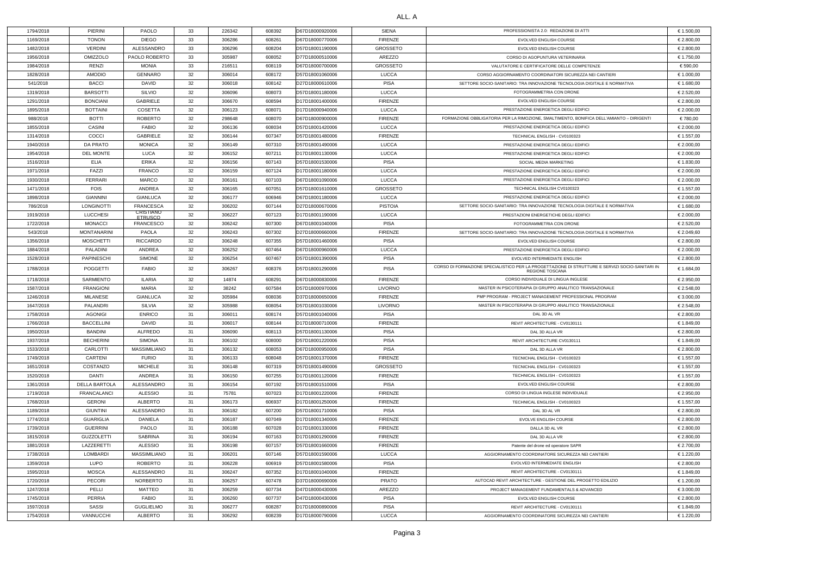## ALL. A

| 1794/2018 | PIERINI              | <b>PAOLO</b>                       | 33  | 226342 | 608392 | D67D18000920006 | SIENA           | PROFESSIONISTA 2.0: REDAZIONE DI ATTI                                                                                     | € 1.500,00 |
|-----------|----------------------|------------------------------------|-----|--------|--------|-----------------|-----------------|---------------------------------------------------------------------------------------------------------------------------|------------|
| 1169/2018 | <b>TONON</b>         | <b>DIEGO</b>                       | 33  | 306286 | 608261 | D67D18000770006 | <b>FIRENZE</b>  | EVOLVED ENGLISH COURSE                                                                                                    | € 2.800,00 |
| 1482/2018 | <b>VERDINI</b>       | ALESSANDRO                         | 33  | 306296 | 608204 | D57D18001190006 | <b>GROSSETO</b> | EVOLVED ENGLISH COURSE                                                                                                    | € 2.800,00 |
| 1956/2018 | <b>OMIZZOLO</b>      | PAOLO ROBERTO                      | 33  | 305987 | 608052 | D77D18000510006 | AREZZO          | CORSO DI AGOPUNTURA VETERINARIA                                                                                           | € 1.750,00 |
| 1984/2018 | RENZI                | <b>MONIA</b>                       | 33  | 216511 | 608119 | D67D18000700006 | <b>GROSSETO</b> | VALUTATORE E CERTIFICATORE DELLE COMPETENZE                                                                               | € 590,00   |
| 1828/2018 | <b>AMODIO</b>        | <b>GENNARO</b>                     | 32  | 306014 | 608172 | D57D18001060006 | LUCCA           | CORSO AGGIORNAMENTO COORDINATORI SICUREZZA NEI CANTIERI                                                                   | € 1.000,00 |
| 541/2018  | <b>BACCI</b>         | DAVID                              | 32  | 306018 | 608142 | D27D18000610006 | <b>PISA</b>     | SETTORE SOCIO-SANITARIO: TRA INNOVAZIONE TECNOLOGIA DIGITALE E NORMATIVA                                                  | € 1.680,00 |
| 1319/2018 | <b>BARSOTTI</b>      | <b>SILVIO</b>                      | 32  | 306096 | 608073 | D57D18001180006 | <b>LUCCA</b>    | FOTOGRAMMETRIA CON DRONE                                                                                                  | € 2.520,00 |
| 1291/2018 | <b>BONCIANI</b>      | GABRIELE                           | 32  | 306670 | 608594 | D17D18001400006 | <b>FIRENZE</b>  | EVOLVED ENGLISH COURSE                                                                                                    | € 2.800,00 |
| 1895/2018 | <b>BOTTAINI</b>      | <b>COSETTA</b>                     | 32  | 306123 | 608071 | D17D18000940006 | <b>LUCCA</b>    | PRESTAZIONE ENERGETICA DEGLI EDIFICI                                                                                      | € 2.000,00 |
| 988/2018  | <b>BOTTI</b>         | <b>ROBERTO</b>                     | 32  | 298648 | 608070 | D67D18000900006 | <b>FIRENZE</b>  | FORMAZIONE OBBLIGATORIA PER LA RIMOZIONE, SMALTIMENTO, BONIFICA DELL'AMIANTO - DIRIGENTI                                  | €780,00    |
| 1855/2018 | <b>CASINI</b>        | <b>FABIO</b>                       | 32  | 306136 | 608034 | D57D18001420006 | <b>LUCCA</b>    | PRESTAZIONE ENERGETICA DEGLI EDIFICI                                                                                      | € 2.000,00 |
| 1314/2018 | COCCI                | <b>GABRIELE</b>                    | 32  | 306144 | 607347 | D57D18001480006 | <b>FIRENZE</b>  | TECHNICAL ENGLISH - CV0100323                                                                                             | € 1.557,00 |
| 1940/2018 | DA PRATO             | <b>MONICA</b>                      | 32  | 306149 | 607310 | D57D18001490006 | <b>LUCCA</b>    | PRESTAZIONE ENERGETICA DEGLI EDIFICI                                                                                      | € 2.000,00 |
|           |                      |                                    |     |        |        |                 |                 |                                                                                                                           |            |
| 1954/2018 | <b>DEL MONTE</b>     | LUCA                               | 32  | 306152 | 607211 | D17D18001130006 | <b>LUCCA</b>    | PRESTAZIONE ENERGETICA DEGLI EDIFICI                                                                                      | € 2.000,00 |
| 1516/2018 | <b>ELIA</b>          | <b>ERIKA</b>                       | 32  | 306156 | 607143 | D57D18001530006 | <b>PISA</b>     | SOCIAL MEDIA MARKETING                                                                                                    | € 1.830,00 |
| 1971/2018 | FAZZI                | <b>FRANCO</b>                      | 32  | 306159 | 607124 | D17D18001180006 | <b>LUCCA</b>    | PRESTAZIONE ENERGETICA DEGLI EDIFICI                                                                                      | € 2.000,00 |
| 1930/2018 | <b>FERRARI</b>       | <b>MARCO</b>                       | 32  | 306161 | 607103 | D67D18001090006 | <b>LUCCA</b>    | PRESTAZIONE ENERGETICA DEGLI EDIFICI                                                                                      | € 2.000,00 |
| 1471/2018 | <b>FOIS</b>          | ANDREA                             | 32  | 306165 | 607051 | D57D18001610006 | <b>GROSSETO</b> | TECHNICAL ENGLISH CV0100323                                                                                               | € 1.557,00 |
| 1898/2018 | <b>GIANNINI</b>      | <b>GIANLUCA</b>                    | 32  | 306177 | 606946 | D67D18001180006 | <b>LUCCA</b>    | PRESTAZIONE ENERGETICA DEGLI EDIFICI                                                                                      | € 2.000,00 |
| 786/2018  | LONGINOTTI           | <b>FRANCESCA</b>                   | 32  | 306202 | 607144 | D27D18000670006 | <b>PISTOIA</b>  | SETTORE SOCIO-SANITARIO: TRA INNOVAZIONE TECNOLOGIA DIGITALE E NORMATIVA                                                  | € 1.680,00 |
| 1919/2018 | <b>LUCCHESI</b>      | <b>CRISTIANO</b><br><b>ETRUSCO</b> | 32  | 306227 | 607123 | D17D18001190006 | <b>LUCCA</b>    | PRESTAZIONI ENERGETICHE DEGLI EDIFICI                                                                                     | € 2.000,00 |
| 1722/2018 | <b>MONACCI</b>       | <b>FRANCESCO</b>                   | 32  | 306242 | 607300 | D67D18001040006 | <b>PISA</b>     | FOTOGRAMMETRIA CON DRONE                                                                                                  | € 2.520,00 |
| 543/2018  | <b>MONTANARINI</b>   | <b>PAOLA</b>                       | 32  | 306243 | 607302 | D27D18000660006 | <b>FIRENZE</b>  | SETTORE SOCIO-SANITARIO: TRA INNOVAZIONE TECNOLOGIA DIGITALE E NORMATIVA                                                  | € 2.049,60 |
| 1356/2018 | <b>MOSCHETTI</b>     | <b>RICCARDO</b>                    | 32  | 306248 | 607355 | D57D18001460006 | <b>PISA</b>     | EVOLVED ENGLISH COURSE                                                                                                    | € 2.800,00 |
| 1884/2018 | PALADINI             | ANDREA                             | 32  | 306252 | 607464 | D67D18000960006 | <b>LUCCA</b>    | PRESTAZIONE ENERGETICA DEGLI EDIFICI                                                                                      | € 2.000,00 |
| 1528/2018 | <b>PAPINESCHI</b>    | <b>SIMONE</b>                      | 32  | 306254 | 607467 | D57D18001390006 | <b>PISA</b>     | EVOLVED INTERMEDIATE ENGLISH                                                                                              | € 2.800,00 |
| 1788/2018 | <b>POGGETTI</b>      | <b>FABIO</b>                       | 32  | 306267 | 608376 | D57D18001290006 | <b>PISA</b>     | CORSO DI FORMAZIONE SPECIALISTICO PER LA PROGETTAZIONE DI STRUTTURE E SERVIZI SOCIO-SANITARI IN<br><b>REGIONE TOSCANA</b> | € 1.684,00 |
| 1718/2018 | SARMIENTO            | <b>ILARIA</b>                      | 32  | 14874  | 608291 | D67D18000830006 | <b>FIRENZE</b>  | CORSO INDIVIDUALE DI LINGUA INGLESE                                                                                       | € 2.950,00 |
|           |                      | MARIA                              | 32  | 38242  |        |                 | <b>LIVORNO</b>  | MASTER IN PSICOTERAPIA DI GRUPPO ANALITICO TRANSAZIONALE                                                                  | € 2.548,00 |
| 1587/2018 | <b>FRANGIONI</b>     |                                    |     |        | 607584 | D57D18000970006 |                 | PMP PROGRAM - PROJECT MANAGEMENT PROFESSIONAL PROGRAM                                                                     |            |
| 1246/2018 | MILANESE             | <b>GIANLUCA</b>                    | 32  | 305984 | 608036 | D37D18000650006 | <b>FIRENZE</b>  |                                                                                                                           | € 3.000,00 |
| 1647/2018 | PALANDRI             | SILVIA                             | 32  | 305988 | 608054 | D57D18001030006 | <b>LIVORNO</b>  | MASTER IN PSICOTERAPIA DI GRUPPO ANALITICO TRANSAZIONALE                                                                  | € 2.548,00 |
| 1758/2018 | <b>AGONIGI</b>       | <b>ENRICO</b>                      | -31 | 306011 | 608174 | D57D18001040006 | <b>PISA</b>     | DAL 3D AL VR                                                                                                              | € 2.800,00 |
| 1766/2018 | <b>BACCELLINI</b>    | <b>DAVID</b>                       | 31  | 306017 | 608144 | D17D18000710006 | <b>FIRENZE</b>  | REVIT ARCHITECTURE - CV0130111                                                                                            | € 1.849,00 |
| 1950/2018 | <b>BANDINI</b>       | ALFREDO                            | 31  | 306090 | 608113 | D57D18001130006 | <b>PISA</b>     | DAL 3D ALLA VR                                                                                                            | € 2.800,00 |
| 1937/2018 | <b>BECHERINI</b>     | SIMONA                             | -31 | 306102 | 608000 | D57D18001220006 | <b>PISA</b>     | REVIT ARCHITECTURE CV0130111                                                                                              | € 1.849,00 |
| 1533/2018 | CARLOTTI             | <b>MASSIMILIANO</b>                | 31  | 306132 | 608053 | D67D18000950006 | <b>PISA</b>     | DAL 3D ALLA VR                                                                                                            | € 2.800,00 |
| 1749/2018 | <b>CARTENI</b>       | <b>FURIO</b>                       | 31  | 306133 | 608048 | D57D18001370006 | FIRENZE         | TECNICHAL ENGLISH - CV0100323                                                                                             | € 1.557,00 |
| 1651/2018 | COSTANZO             | MICHELE                            | 31  | 306148 | 607319 | D57D18001490006 | <b>GROSSETO</b> | TECNICHAL ENGLISH - CV0100323                                                                                             | € 1.557,00 |
| 1520/2018 | DANTI                | ANDREA                             | 31  | 306150 | 607255 | D17D18001120006 | FIRENZE         | TECHNICAL ENGLISH - CV0100323                                                                                             | € 1.557,00 |
| 1361/2018 | <b>DELLA BARTOLA</b> | ALESSANDRO                         | 31  | 306154 | 607192 | D57D18001510006 | <b>PISA</b>     | EVOLVED ENGLISH COURSE                                                                                                    | € 2.800,00 |
| 1719/2018 | FRANCALANCI          | ALESSIO                            | 31  | 75781  | 607023 | D17D18001220006 | <b>FIRENZE</b>  | CORSO DI LINGUA INGLESE INDIVIDUALE                                                                                       | € 2.950,00 |
| 1768/2018 | <b>GERONI</b>        | ALBERTO                            | 31  | 306173 | 606937 | D17D18001250006 | <b>FIRENZE</b>  | TECHNICAL ENGLISH - CV0100323                                                                                             | € 1.557,00 |
| 1189/2018 | <b>GIUNTINI</b>      | ALESSANDRO                         | 31  | 306182 | 607200 | D57D18001710006 | <b>PISA</b>     | DAL 3D AL VR                                                                                                              | € 2.800,00 |
| 1774/2018 | <b>GUARIGLIA</b>     | <b>DANIELA</b>                     | 31  | 306187 | 607049 | D17D18001340006 | <b>FIRENZE</b>  | <b>EVOLVE ENGLISH COURSE</b>                                                                                              | € 2.800,00 |
| 1739/2018 | <b>GUERRINI</b>      | PAOLO                              | 31  | 306188 | 607028 | D17D18001330006 | FIRENZE         | DALLA 3D AL VR                                                                                                            | € 2.800,00 |
| 1815/2018 | <b>GUZZOLETTI</b>    | SABRINA                            | 31  | 306194 | 607163 | D17D18001290006 | <b>FIRENZE</b>  | DAL 3D ALLA VR                                                                                                            | € 2.800,00 |
| 1881/2018 | LAZZERETTI           | ALESSIO                            | 31  | 306198 | 607157 | D57D18001660006 | <b>FIRENZE</b>  | Patente del drone ed operatore SAPR                                                                                       | € 2.700,00 |
| 1738/2018 | <b>LOMBARDI</b>      | <b>MASSIMILIANO</b>                | -31 | 306201 | 607146 | D57D18001590006 | <b>LUCCA</b>    | AGGIORNAMENTO COORDINATORE SICUREZZA NEI CANTIERI                                                                         | € 1.220,00 |
| 1359/2018 | LUPO                 | <b>ROBERTO</b>                     | 31  | 306228 | 606919 | D57D18001580006 | <b>PISA</b>     | EVOLVED INTERMEDIATE ENGLISH                                                                                              | € 2.800,00 |
|           | <b>MOSCA</b>         | ALESSANDRO                         | 31  | 306247 | 607352 |                 | FIRENZE         |                                                                                                                           | € 1.849,00 |
| 1595/2018 |                      |                                    |     |        |        | D17D18001040006 |                 | REVIT ARCHITECTURE - CV0130111                                                                                            |            |
| 1720/2018 | <b>PECORI</b>        | <b>NORBERTO</b>                    | 31  | 306257 | 607478 | D37D18000690006 | <b>PRATO</b>    | AUTOCAD REVIT ARCHITECTURE - GESTIONE DEL PROGETTO EDILIZIO                                                               | € 1.200,00 |
| 1247/2018 | PELLI                | MATTEO                             | 31  | 306259 | 607734 | D47D18000430006 | AREZZO          | PROJECT MANAGEMENT FUNDAMENTALS & ADVANCED                                                                                | € 3.000,00 |
| 1745/2018 | PERRIA               | <b>FABIO</b>                       | 31  | 306260 | 607737 | D47D18000430006 | <b>PISA</b>     | EVOLVED ENGLISH COURSE                                                                                                    | € 2.800,00 |
| 1597/2018 | SASSI                | <b>GUGLIELMO</b>                   | 31  | 306277 | 608287 | D17D18000890006 | <b>PISA</b>     | REVIT ARCHITECTURE - CV0130111                                                                                            | € 1.849,00 |
| 1754/2018 | VANNUCCHI            | ALBERTO                            | 31  | 306292 | 608239 | D17D18000790006 | <b>LUCCA</b>    | AGGIORNAMENTO COORDINATORE SICUREZZA NEI CANTIERI                                                                         | € 1.220,00 |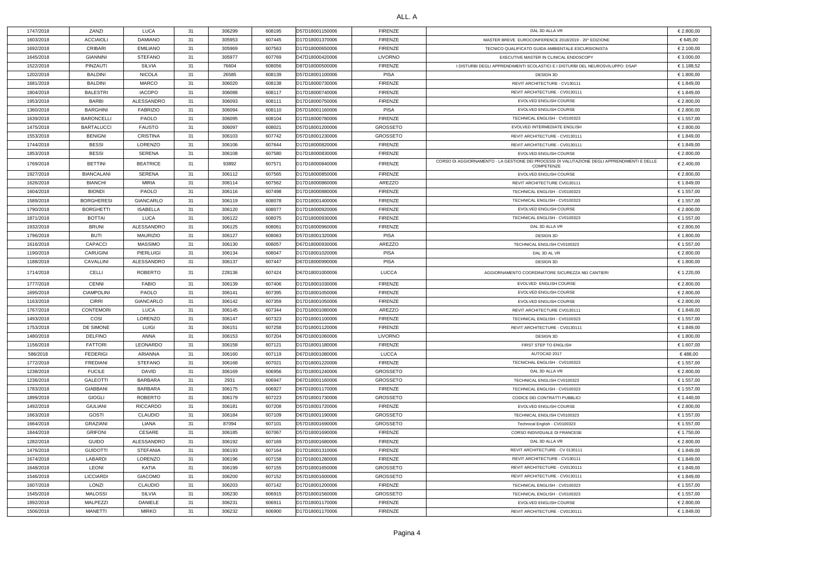| 1747/2018 | ZANZI             | <b>LUCA</b>     | 31 | 306299 | 608195 | D57D18001150006 | <b>FIRENZE</b>  | DAL 3D ALLA VR                                                                               | € 2.800,00 |
|-----------|-------------------|-----------------|----|--------|--------|-----------------|-----------------|----------------------------------------------------------------------------------------------|------------|
| 1603/2018 | <b>ACCIAIOLI</b>  | <b>DAMIANO</b>  | 31 | 305953 | 607445 | D17D18001370006 | <b>FIRENZE</b>  | MASTER BREVE EUROCONFERENCE 2018/2019 - 20^ EDIZIONE                                         | € 645,00   |
| 1692/2018 | CRIBARI           | <b>EMILIANO</b> | 31 | 305969 | 607563 | D17D18000650006 | <b>FIRENZE</b>  | TECNICO QUALIFICATO GUIDA AMBIENTALE ESCURSIONISTA                                           | € 2.100,00 |
| 1645/2018 | <b>GIANNINI</b>   | <b>STEFANO</b>  | 31 | 305977 | 607769 | D47D18000420006 | LIVORNO         | EXECUTIVE MASTER IN CLINICAL ENDOSCOPY                                                       | € 3.000,00 |
| 1522/2018 | PINZAUTI          | SILVIA          | 31 | 76604  | 608056 | D87D18000500006 | <b>FIRENZE</b>  | I DISTURBI DEGLI APPRENDIMENTI SCOLASTICI E I DISTURBI DEL NEUROSVILUPPO: DSAP               | € 1.188,52 |
| 1202/2018 | BALDINI           | <b>NICOLA</b>   | 31 | 26585  | 608139 | D57D18001100006 | PISA            | DESIGN 3D                                                                                    | € 1.800,00 |
| 1681/2018 | <b>BALDINI</b>    | <b>MARCO</b>    | 31 | 306020 | 608138 | D17D18000730006 | <b>FIRENZE</b>  | REVIT ARCHITECTURE - CV130111                                                                | € 1.849,00 |
| 1804/2018 | <b>BALESTRI</b>   | <b>IACOPO</b>   | 31 | 306088 | 608117 | D17D18000740006 | <b>FIRENZE</b>  | REVIT ARCHITECTURE - CV0130111                                                               | € 1.849,00 |
| 1953/2018 | <b>BARBI</b>      | ALESSANDRO      | 31 | 306093 | 608111 | D17D18000750006 | <b>FIRENZE</b>  | EVOLVED ENGLISH COURSE                                                                       | € 2.800,00 |
| 1360/2018 | <b>BARGHINI</b>   | <b>FABRIZIO</b> | 31 | 306094 | 608110 | D57D18001160006 | PISA            | EVOLVED ENGLISH COURSE                                                                       | € 2.800,00 |
| 1639/2018 | <b>BARONCELLI</b> | <b>PAOLO</b>    | 31 | 306095 | 608104 | D17D18000780006 | <b>FIRENZE</b>  | TECHNICAL ENGLISH - CV0100323                                                                | € 1.557,00 |
| 1475/2018 | <b>BARTALUCCI</b> | <b>FAUSTO</b>   | 31 | 306097 | 608021 | D57D18001200006 | <b>GROSSETO</b> | EVOLVED INTERMEDIATE ENGLISH                                                                 | € 2.800,00 |
| 1553/2018 | <b>BENIGNI</b>    | CRISTINA        | 31 | 306103 | 607742 | D57D18001230006 | <b>GROSSETO</b> | REVIT ARCHITECTURE - CV0130111                                                               | € 1.849,00 |
| 1744/2018 | <b>BESSI</b>      | LORENZO         | 31 | 306106 | 607644 | D17D18000820006 | <b>FIRENZE</b>  | REVIT ARCHITECTURE - CV0130111                                                               | € 1.849,00 |
| 1853/2018 | <b>BESSI</b>      | SERENA          | 31 | 306108 | 607580 | D17D18000830006 | <b>FIRENZE</b>  | EVOLVED ENGLISH COURSE                                                                       | € 2.800,00 |
| 1769/2018 | <b>BETTINI</b>    | <b>BEATRICE</b> | 31 | 93892  | 607571 | D17D18000840006 | FIRENZE         | CORSO DI AGGIORNAMENTO - LA GESTIONE DEI PROCESSI DI VALUTAZIONE DEGLI APPRENDIMENTI E DELLE | € 2.400,00 |
|           |                   |                 |    |        |        |                 |                 | COMPETENZE                                                                                   |            |
| 1927/2018 | <b>BIANCALANI</b> | SERENA          | 31 | 306112 | 607565 | D17D18000850006 | <b>FIRENZE</b>  | EVOLVED ENGLISH COURSE                                                                       | € 2.800,00 |
| 1626/2018 | <b>BIANCHI</b>    | <b>MIRIA</b>    | 31 | 306114 | 607562 | D17D18000860006 | AREZZO          | REVIT ARCHITECTURE CV0130111                                                                 | € 1.849,00 |
| 1604/2018 | <b>BIONDI</b>     | <b>PAOLO</b>    | 31 | 306116 | 607498 | D17D18000880006 | <b>FIRENZE</b>  | TECHNICAL ENGLISH - CV0100323                                                                | € 1.557,00 |
| 1589/2018 | <b>BORGHERESI</b> | GIANCARLO       | 31 | 306119 | 608078 | D17D18001400006 | <b>FIRENZE</b>  | TECHNICAL ENGLISH - CV0100323                                                                | € 1.557,00 |
| 1790/2018 | <b>BORGHETTI</b>  | ISABELLA        | 31 | 306120 | 608077 | D17D18000920006 | <b>FIRENZE</b>  | EVOLVED ENGLISH COURSE                                                                       | € 2.800,00 |
| 1871/2018 | <b>BOTTAI</b>     | LUCA            | 31 | 306122 | 608075 | D17D18000930006 | <b>FIRENZE</b>  | TECHNICAL ENGLISH - CV0100323                                                                | € 1.557,00 |
| 1932/2018 | <b>BRUNI</b>      | ALESSANDRO      | 31 | 306125 | 608061 | D17D18000960006 | <b>FIRENZE</b>  | DAL 3D ALLA VR                                                                               | € 2.800,00 |
| 1796/2018 | <b>BUTI</b>       | <b>MAURIZIO</b> | 31 | 306127 | 608063 | D57D18001320006 | PISA            | DESIGN 3D                                                                                    | € 1.800,00 |
| 1616/2018 | <b>CAPACCI</b>    | <b>MASSIMO</b>  | 31 | 306130 | 608057 | D67D18000930006 | AREZZO          | TECHNICAL ENGLISH CV0100323                                                                  | € 1.557,00 |
| 1190/2018 | <b>CARUGINI</b>   | PIERLUIGI       | 31 | 306134 | 608047 | D17D18001020006 | PISA            | DAL 3D AL VR                                                                                 | € 2.800,00 |
| 1188/2018 | CAVALLINI         | ALESSANDRO      | 31 | 306137 | 607447 | D67D18000990006 | PISA            | DESIGN 3D                                                                                    | € 1.800,00 |
| 1714/2018 | CELLI             | ROBERTO         | 31 | 228136 | 607424 | D67D18001000006 | <b>LUCCA</b>    | AGGIORNAMENTO COORDINATORE SICUREZZA NEI CANTIERI                                            | € 1.220,00 |
| 1777/2018 | <b>CENNI</b>      | <b>FABIO</b>    | 31 | 306139 | 607406 | D17D18001030006 | <b>FIRENZE</b>  | EVOLVED ENGLISH COURSE                                                                       | € 2.800,00 |
| 1695/2018 | <b>CIAMPOLINI</b> | <b>PAOLO</b>    | 31 | 306141 | 607395 | D17D18001050006 | <b>FIRENZE</b>  | EVOLVED ENGLISH COURSE                                                                       | € 2.800,00 |
| 1163/2018 | <b>CIRRI</b>      | GIANCARLO       | 31 | 306142 | 607359 | D17D18001050006 | <b>FIRENZE</b>  | EVOLVED ENGLISH COURSE                                                                       | € 2.800,00 |
| 1767/2018 | <b>CONTEMORI</b>  | LUCA            | 31 | 306145 | 607344 | D17D18001080006 | AREZZO          | REVIT ARCHITECTURE CV0130111                                                                 | € 1.849,00 |
| 1493/2018 | COSI              | LORENZO         | 31 | 306147 | 607323 | D17D18001100006 | <b>FIRENZE</b>  | TECHNICAL ENGLISH - CV0100323                                                                | € 1.557,00 |
| 1753/2018 | DE SIMONE         | LUIGI           | 31 | 306151 | 607258 | D17D18001120006 | <b>FIRENZE</b>  | REVIT ARCHITECTURE - CV0130111                                                               | € 1.849,00 |
| 1480/2018 | <b>DELFINO</b>    | ANNA            | 31 | 306153 | 607204 | D67D18001060006 | LIVORNO         | DESIGN 3D                                                                                    | € 1.800,00 |
| 1156/2018 | <b>FATTORI</b>    | <b>LEONARDO</b> | 31 | 306158 | 607121 | D17D18001180006 | <b>FIRENZE</b>  | FIRST STEP TO ENGLISH                                                                        | € 1.607,00 |
| 586/2018  | <b>FEDERIGI</b>   | ARIANNA         | 31 | 306160 | 607119 | D67D18001080006 | LUCCA           | AUTOCAD 2017                                                                                 | €488,00    |
| 1772/2018 | <b>FREDIANI</b>   | <b>STEFANO</b>  | 31 | 306168 | 607021 | D17D18001220006 | <b>FIRENZE</b>  | TECNICHAL ENGLISH - CV0100323                                                                | € 1.557,00 |
| 1238/2018 | <b>FUCILE</b>     | DAVID           | 31 | 306169 | 606956 | D17D18001240006 | <b>GROSSETO</b> | DAL 3D ALLA VR                                                                               | € 2.800,00 |
| 1236/2018 | <b>GALEOTTI</b>   | <b>BARBARA</b>  | 31 | 2931   | 606947 | D67D18001160006 | <b>GROSSETO</b> | TECHNICAL ENGLISH CV0100323                                                                  | € 1.557,00 |
| 1783/2018 | <b>GIABBANI</b>   | BARBARA         | 31 | 306175 | 606927 | D67D18001170006 | <b>FIRENZE</b>  | TECHNICAL ENGLISH - CV0100323                                                                | € 1.557,00 |
| 1899/2018 | <b>GIOGLI</b>     | ROBERTO         | 31 | 306179 | 607223 | D57D18001730006 | <b>GROSSETO</b> | CODICE DEI CONTRATTI PUBBLICI                                                                | € 1.440,00 |
| 1492/2018 | GIULIANI          | <b>RICCARDO</b> | 31 | 306181 | 607208 | D57D18001720006 | <b>FIRENZE</b>  | EVOLVED ENGLISH COURSE                                                                       | € 2.800,00 |
| 1663/2018 | <b>GOSTI</b>      | <b>CLAUDIO</b>  | 31 | 306184 | 607109 | D67D18001190006 | <b>GROSSETO</b> | TECHNICAL ENGLISH CV0100323                                                                  | € 1.557,00 |
| 1664/2018 | <b>GRAZIANI</b>   | LIANA           | 31 | 87094  | 607101 | D57D18001690006 | <b>GROSSETO</b> | Technical English - CV0100323                                                                | € 1.557,00 |
| 1844/2018 | <b>GRIFONI</b>    | CESARE          | 31 | 306185 | 607067 | D57D18001690006 | <b>FIRENZE</b>  | CORSO INDIVIDUALE DI FRANCESE                                                                | € 1.750,00 |
| 1282/2018 | <b>GUIDO</b>      | ALESSANDRO      | 31 | 306192 | 607169 | D57D18001680006 | <b>FIRENZE</b>  | DAL 3D ALLA VR                                                                               | € 2.800,00 |
| 1476/2018 | <b>GUIDOTTI</b>   | STEFANIA        | 31 | 306193 | 607164 | D17D18001310006 | <b>FIRENZE</b>  | REVIT ARCHITECTURE - CV 0130111                                                              | € 1.849,00 |
| 1674/2018 | LABARDI           | LORENZO         | 31 | 306196 | 607158 | D17D18001280006 | <b>FIRENZE</b>  | REVIT ARCHITECTURE - CV130111                                                                | € 1.849,00 |
| 1648/2018 | LEONI             | KATIA           | 31 | 306199 | 607155 | D57D18001650006 | <b>GROSSETO</b> | REVIT ARCHITECTURE - CV0130111                                                               | € 1.849,00 |
| 1546/2018 | <b>LICCIARDI</b>  | <b>GIACOMO</b>  | 31 | 306200 | 607152 | D57D18001600006 | <b>GROSSETO</b> | REVIT ARCHITECTURE - CV0130111                                                               | € 1.849,00 |
| 1607/2018 | LONZI             | <b>CLAUDIO</b>  | 31 | 306203 | 607142 | D17D18001200006 | FIRENZE         | TECHNICAL ENGLISH - CV0100323                                                                | € 1.557,00 |
| 1545/2018 | <b>MALOSSI</b>    | SILVIA          | 31 | 306230 | 606915 | D57D18001560006 | <b>GROSSETO</b> | TECHNICAL ENGLISH - CV0100323                                                                | € 1.557,00 |
| 1892/2018 | MALPEZZI          | DANIELE         | 31 | 306231 | 606911 | D17D18001170006 | FIRENZE         | EVOLVED ENGLISH COURSE                                                                       | € 2.800,00 |
| 1506/2018 | <b>MANETTI</b>    | <b>MIRKO</b>    | 31 | 306232 | 606900 | D17D18001170006 | <b>FIRENZE</b>  | REVIT ARCHITECTURE - CV0130111                                                               | € 1.849,00 |
|           |                   |                 |    |        |        |                 |                 |                                                                                              |            |